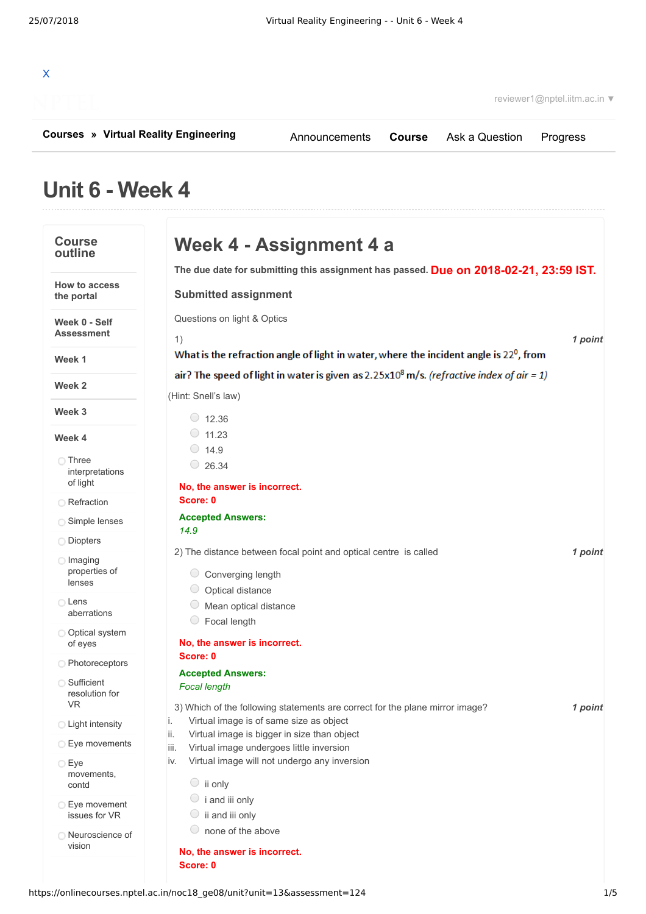|                                              | reviewer1@nptel.iitm.ac.in ▼        |  |  |          |
|----------------------------------------------|-------------------------------------|--|--|----------|
| <b>Courses » Virtual Reality Engineering</b> | Announcements Course Ask a Question |  |  | Progress |

## **Unit 6 - Week 4**

| <b>Course</b><br>outline               | Week 4 - Assignment 4 a                                                                                       |         |
|----------------------------------------|---------------------------------------------------------------------------------------------------------------|---------|
|                                        | The due date for submitting this assignment has passed. Due on 2018-02-21, 23:59 IST.                         |         |
| <b>How to access</b><br>the portal     | <b>Submitted assignment</b>                                                                                   |         |
| Week 0 - Self<br><b>Assessment</b>     | Questions on light & Optics<br>1)                                                                             | 1 point |
| Week 1                                 | What is the refraction angle of light in water, where the incident angle is $22^0$ , from                     |         |
| Week 2                                 | air? The speed of light in water is given as 2.25x10 <sup>8</sup> m/s. ( <i>refractive index of air = 1</i> ) |         |
|                                        | (Hint: Snell's law)                                                                                           |         |
| Week 3                                 | $\circ$ 12.36                                                                                                 |         |
| Week 4                                 | $\circ$ 11.23                                                                                                 |         |
|                                        | $\circ$ 14.9                                                                                                  |         |
| ◯ Three<br>interpretations<br>of light | $\circ$ 26.34                                                                                                 |         |
|                                        | No, the answer is incorrect.<br>Score: 0                                                                      |         |
| <b>Refraction</b>                      | <b>Accepted Answers:</b>                                                                                      |         |
| Simple lenses                          | 14.9                                                                                                          |         |
| O Diopters                             |                                                                                                               |         |
| $\bigcirc$ Imaging<br>properties of    | 2) The distance between focal point and optical centre is called<br>Converging length                         | 1 point |
| lenses                                 | $\cup$<br>Optical distance                                                                                    |         |
| ◯ Lens                                 | Mean optical distance                                                                                         |         |
| aberrations                            | Focal length                                                                                                  |         |
| O Optical system                       | No, the answer is incorrect.                                                                                  |         |
| of eyes                                | Score: 0                                                                                                      |         |
| ◯ Photoreceptors                       | <b>Accepted Answers:</b>                                                                                      |         |
| ◯ Sufficient                           | <b>Focal length</b>                                                                                           |         |
| resolution for<br>VR.                  | 3) Which of the following statements are correct for the plane mirror image?                                  | 1 point |
| <b>C</b> Light intensity               | i. Virtual image is of same size as object                                                                    |         |
|                                        | ii.<br>Virtual image is bigger in size than object                                                            |         |
| ◯ Eye movements                        | Virtual image undergoes little inversion<br>iii.                                                              |         |
| $\bigcirc$ Eye                         | Virtual image will not undergo any inversion<br>iv.                                                           |         |
| movements,<br>contd                    | $\circ$ ii only                                                                                               |         |
| ◯ Eye movement                         | $\circ$ i and iii only                                                                                        |         |
| issues for VR                          | $\circ$ ii and iii only                                                                                       |         |
| ◯ Neuroscience of                      | $\bigcirc$<br>none of the above                                                                               |         |
| vision                                 | No, the answer is incorrect.                                                                                  |         |
|                                        | Score: 0                                                                                                      |         |
|                                        |                                                                                                               |         |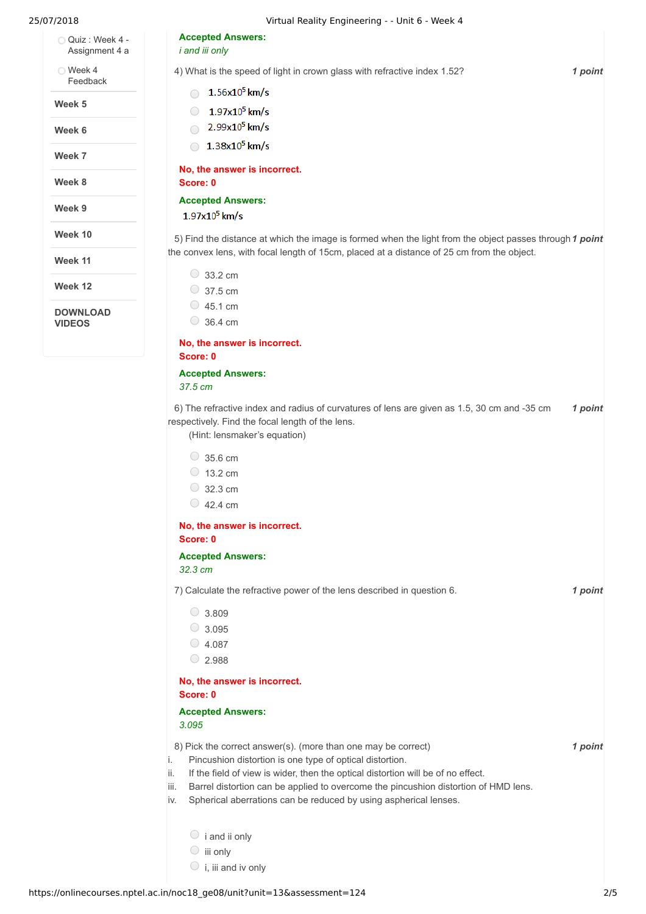| 25/07/2018                       | Virtual Reality Engineering - - Unit 6 - Week 4                                                                                                                                                       |         |
|----------------------------------|-------------------------------------------------------------------------------------------------------------------------------------------------------------------------------------------------------|---------|
| Quiz: Week 4 -<br>Assignment 4 a | <b>Accepted Answers:</b><br><i>i</i> and <i>iii</i> only                                                                                                                                              |         |
| ◯ Week 4<br>Feedback             | 4) What is the speed of light in crown glass with refractive index 1.52?                                                                                                                              | 1 point |
|                                  | $1.56x10^5$ km/s<br>$\bigcap$                                                                                                                                                                         |         |
| Week 5                           | $1.97x10^5$ km/s<br>$\bigcirc$                                                                                                                                                                        |         |
| Week 6                           | 2.99x10 <sup>5</sup> km/s<br>$\bigcap$                                                                                                                                                                |         |
| Week 7                           | $1.38x10^5$ km/s                                                                                                                                                                                      |         |
| Week 8                           | No, the answer is incorrect.<br>Score: 0                                                                                                                                                              |         |
| Week 9                           | <b>Accepted Answers:</b>                                                                                                                                                                              |         |
|                                  | $1.97x10^5$ km/s                                                                                                                                                                                      |         |
| Week 10                          | 5) Find the distance at which the image is formed when the light from the object passes through 1 point<br>the convex lens, with focal length of 15cm, placed at a distance of 25 cm from the object. |         |
| Week 11                          |                                                                                                                                                                                                       |         |
| Week 12                          | $\circ$ 33.2 cm                                                                                                                                                                                       |         |
|                                  | $\circ$ 37.5 cm                                                                                                                                                                                       |         |
| <b>DOWNLOAD</b><br><b>VIDEOS</b> | $\circ$ 45.1 cm<br>$\circ$ 36.4 cm                                                                                                                                                                    |         |
|                                  | No, the answer is incorrect.<br>Score: 0                                                                                                                                                              |         |
|                                  | <b>Accepted Answers:</b>                                                                                                                                                                              |         |
|                                  | 37.5 cm                                                                                                                                                                                               |         |
|                                  | 6) The refractive index and radius of curvatures of lens are given as 1.5, 30 cm and -35 cm<br>respectively. Find the focal length of the lens.<br>(Hint: lensmaker's equation)                       | 1 point |
|                                  |                                                                                                                                                                                                       |         |
|                                  | $\circ$ 35.6 cm                                                                                                                                                                                       |         |
|                                  | $\circ$ 13.2 cm                                                                                                                                                                                       |         |
|                                  | $\circ$ 32.3 cm                                                                                                                                                                                       |         |
|                                  | $\circ$ 42.4 cm                                                                                                                                                                                       |         |
|                                  | No, the answer is incorrect.<br>Score: 0                                                                                                                                                              |         |
|                                  | <b>Accepted Answers:</b>                                                                                                                                                                              |         |
|                                  | 32.3 cm                                                                                                                                                                                               |         |
|                                  | 7) Calculate the refractive power of the lens described in question 6.                                                                                                                                | 1 point |
|                                  | $\circ$ 3.809                                                                                                                                                                                         |         |
|                                  | $\circ$ 3.095                                                                                                                                                                                         |         |
|                                  | $\circ$ 4.087                                                                                                                                                                                         |         |
|                                  | $\circ$ 2.988                                                                                                                                                                                         |         |
|                                  | No, the answer is incorrect.<br>Score: 0                                                                                                                                                              |         |
|                                  | <b>Accepted Answers:</b>                                                                                                                                                                              |         |
|                                  | 3.095                                                                                                                                                                                                 |         |
|                                  | 8) Pick the correct answer(s). (more than one may be correct)                                                                                                                                         | 1 point |
|                                  | i.<br>Pincushion distortion is one type of optical distortion.                                                                                                                                        |         |
|                                  | If the field of view is wider, then the optical distortion will be of no effect.<br>ii.                                                                                                               |         |
|                                  | Barrel distortion can be applied to overcome the pincushion distortion of HMD lens.<br>iii.                                                                                                           |         |
|                                  | Spherical aberrations can be reduced by using aspherical lenses.<br>İV.                                                                                                                               |         |
|                                  | $\circ$ i and ii only                                                                                                                                                                                 |         |

iii only  $\bigcirc$  i, iii and iv only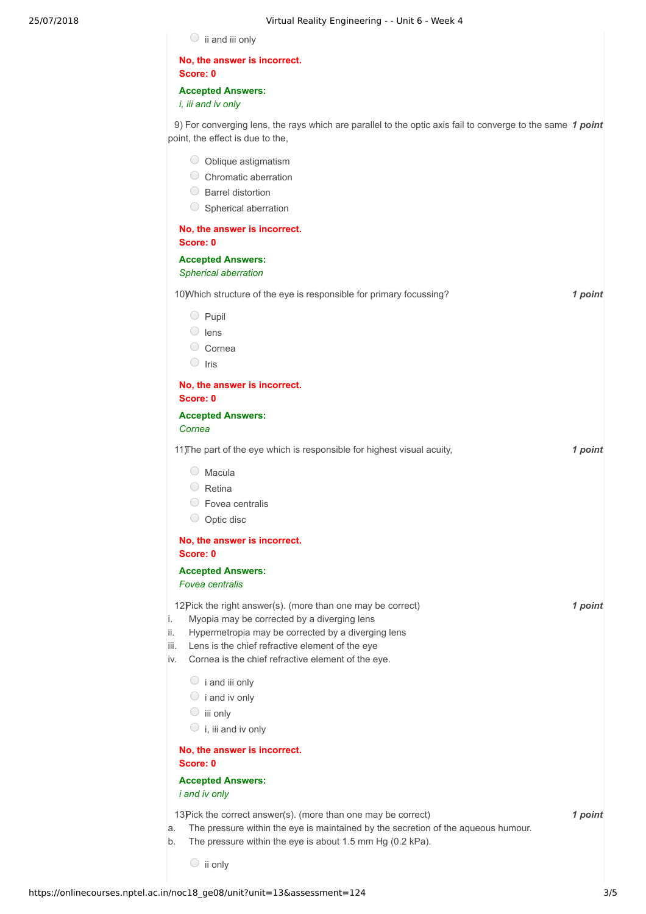| $\circ$ ii and iii only                                                                                                                                    |         |
|------------------------------------------------------------------------------------------------------------------------------------------------------------|---------|
| No, the answer is incorrect.                                                                                                                               |         |
| Score: 0<br><b>Accepted Answers:</b>                                                                                                                       |         |
| i, iii and iv only                                                                                                                                         |         |
| 9) For converging lens, the rays which are parallel to the optic axis fail to converge to the same 1 point<br>point, the effect is due to the,             |         |
| O Oblique astigmatism                                                                                                                                      |         |
| C Chromatic aberration                                                                                                                                     |         |
| ◯ Barrel distortion                                                                                                                                        |         |
| Spherical aberration                                                                                                                                       |         |
| No, the answer is incorrect.                                                                                                                               |         |
| Score: 0                                                                                                                                                   |         |
| <b>Accepted Answers:</b><br>Spherical aberration                                                                                                           |         |
| 10) Which structure of the eye is responsible for primary focussing?                                                                                       | 1 point |
| $\bigcirc$ Pupil                                                                                                                                           |         |
| $\circ$ lens                                                                                                                                               |         |
| C Cornea                                                                                                                                                   |         |
| $\circ$ Iris                                                                                                                                               |         |
| No, the answer is incorrect.                                                                                                                               |         |
| Score: 0                                                                                                                                                   |         |
| <b>Accepted Answers:</b><br>Cornea                                                                                                                         |         |
| 11) The part of the eye which is responsible for highest visual acuity,                                                                                    | 1 point |
| $\circ$ Macula                                                                                                                                             |         |
| $\circ$ Retina                                                                                                                                             |         |
| ○ Fovea centralis                                                                                                                                          |         |
| $\circ$ Optic disc                                                                                                                                         |         |
| No, the answer is incorrect.                                                                                                                               |         |
| Score: 0                                                                                                                                                   |         |
| <b>Accepted Answers:</b><br><b>Fovea</b> centralis                                                                                                         |         |
|                                                                                                                                                            |         |
| 12Pick the right answer(s). (more than one may be correct)<br>Myopia may be corrected by a diverging lens<br>i.                                            | 1 point |
| Hypermetropia may be corrected by a diverging lens<br>ii.                                                                                                  |         |
| Lens is the chief refractive element of the eye<br>iii.                                                                                                    |         |
| Cornea is the chief refractive element of the eye.<br>İV.                                                                                                  |         |
| $\circ$ i and iii only                                                                                                                                     |         |
| $\circ$ i and iv only                                                                                                                                      |         |
| $\circ$ iii only                                                                                                                                           |         |
| $\circ$ i, iii and iv only                                                                                                                                 |         |
| No, the answer is incorrect.<br>Score: 0                                                                                                                   |         |
| <b>Accepted Answers:</b>                                                                                                                                   |         |
| i and iv only                                                                                                                                              |         |
| 13Pick the correct answer(s). (more than one may be correct)                                                                                               | 1 point |
| The pressure within the eye is maintained by the secretion of the aqueous humour.<br>a.<br>The pressure within the eye is about 1.5 mm Hg (0.2 kPa).<br>b. |         |
| $\circ$ ii only                                                                                                                                            |         |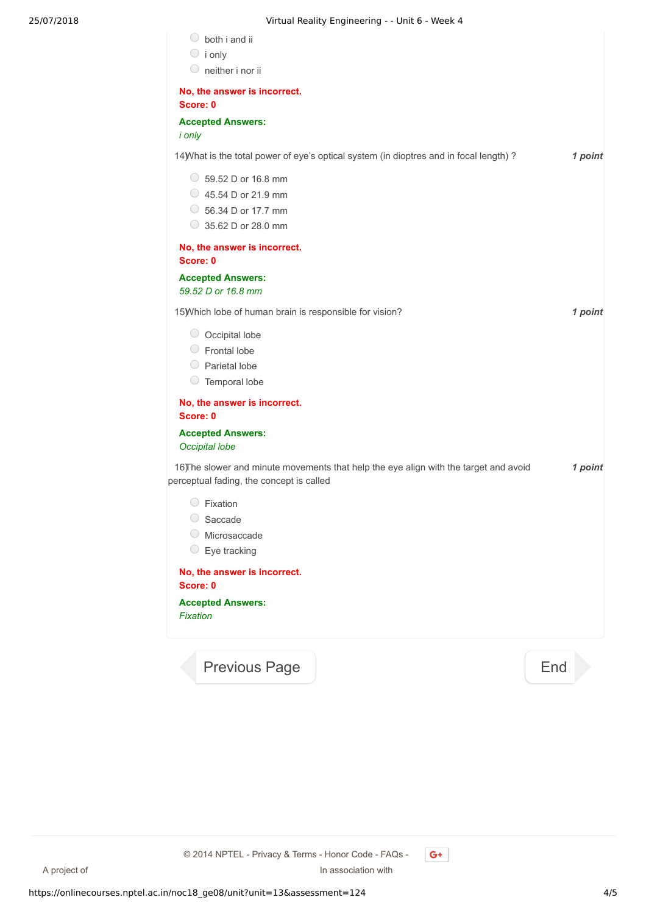| $\bigcirc$<br>both i and ii<br>$\circ$ i only<br>$\circ$ neither i nor ii                                    |                                                                                        |     |         |
|--------------------------------------------------------------------------------------------------------------|----------------------------------------------------------------------------------------|-----|---------|
| No, the answer is incorrect.<br>Score: 0                                                                     |                                                                                        |     |         |
| <b>Accepted Answers:</b><br><i>i</i> only                                                                    |                                                                                        |     |         |
|                                                                                                              | 14) What is the total power of eye's optical system (in dioptres and in focal length)? |     | 1 point |
| $\circ$ 59.52 D or 16.8 mm<br>$\circ$ 45.54 D or 21.9 mm<br>$\circ$ 56.34 D or 17.7 mm<br>35.62 D or 28.0 mm |                                                                                        |     |         |
| No, the answer is incorrect.<br>Score: 0                                                                     |                                                                                        |     |         |
| <b>Accepted Answers:</b><br>59.52 D or 16.8 mm                                                               |                                                                                        |     |         |
| 15) Which lobe of human brain is responsible for vision?                                                     |                                                                                        |     | 1 point |
| $\circ$ Occipital lobe<br>$\circ$ Frontal lobe<br>Parietal lobe<br>$\circ$ Temporal lobe                     |                                                                                        |     |         |
| No, the answer is incorrect.<br>Score: 0                                                                     |                                                                                        |     |         |
| <b>Accepted Answers:</b><br>Occipital lobe                                                                   |                                                                                        |     |         |
| perceptual fading, the concept is called                                                                     | 16) The slower and minute movements that help the eye align with the target and avoid  |     | 1 point |
| $\bigcirc$<br>Fixation<br>Saccade<br>$\bigcirc$<br>Microsaccade<br>Eye tracking<br>$\bigcirc$                |                                                                                        |     |         |
| No, the answer is incorrect.<br>Score: 0                                                                     |                                                                                        |     |         |
| <b>Accepted Answers:</b><br>Fixation                                                                         |                                                                                        |     |         |
| <b>Previous Page</b>                                                                                         |                                                                                        | End |         |

A project of **In association with** © 2014 NPTEL - Privacy & Terms - Honor Code - FAQs -

 $G+$